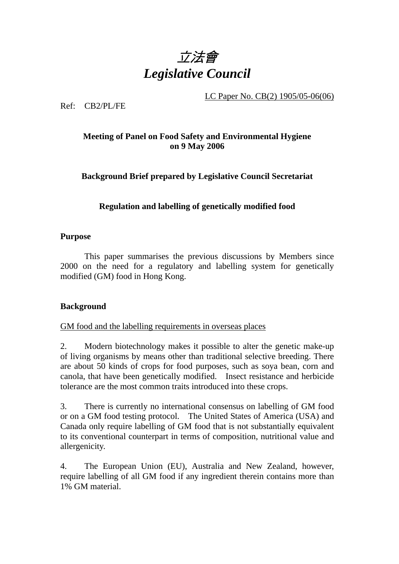

LC Paper No. CB(2) 1905/05-06(06)

Ref: CB2/PL/FE

## **Meeting of Panel on Food Safety and Environmental Hygiene on 9 May 2006**

**Background Brief prepared by Legislative Council Secretariat** 

# **Regulation and labelling of genetically modified food**

## **Purpose**

This paper summarises the previous discussions by Members since 2000 on the need for a regulatory and labelling system for genetically modified (GM) food in Hong Kong.

## **Background**

### GM food and the labelling requirements in overseas places

2. Modern biotechnology makes it possible to alter the genetic make-up of living organisms by means other than traditional selective breeding. There are about 50 kinds of crops for food purposes, such as soya bean, corn and canola, that have been genetically modified. Insect resistance and herbicide tolerance are the most common traits introduced into these crops.

3. There is currently no international consensus on labelling of GM food or on a GM food testing protocol. The United States of America (USA) and Canada only require labelling of GM food that is not substantially equivalent to its conventional counterpart in terms of composition, nutritional value and allergenicity.

4. The European Union (EU), Australia and New Zealand, however, require labelling of all GM food if any ingredient therein contains more than 1% GM material.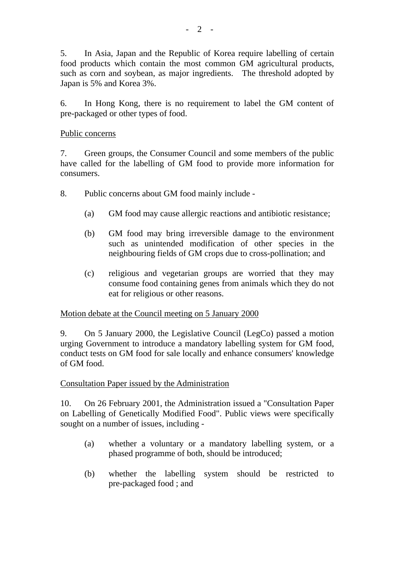5. In Asia, Japan and the Republic of Korea require labelling of certain food products which contain the most common GM agricultural products, such as corn and soybean, as major ingredients. The threshold adopted by Japan is 5% and Korea 3%.

6. In Hong Kong, there is no requirement to label the GM content of pre-packaged or other types of food.

#### Public concerns

7. Green groups, the Consumer Council and some members of the public have called for the labelling of GM food to provide more information for consumers.

- 8. Public concerns about GM food mainly include
	- (a) GM food may cause allergic reactions and antibiotic resistance;
	- (b) GM food may bring irreversible damage to the environment such as unintended modification of other species in the neighbouring fields of GM crops due to cross-pollination; and
	- (c) religious and vegetarian groups are worried that they may consume food containing genes from animals which they do not eat for religious or other reasons.

### Motion debate at the Council meeting on 5 January 2000

9. On 5 January 2000, the Legislative Council (LegCo) passed a motion urging Government to introduce a mandatory labelling system for GM food, conduct tests on GM food for sale locally and enhance consumers' knowledge of GM food.

### Consultation Paper issued by the Administration

10. On 26 February 2001, the Administration issued a "Consultation Paper on Labelling of Genetically Modified Food". Public views were specifically sought on a number of issues, including -

- (a) whether a voluntary or a mandatory labelling system, or a phased programme of both, should be introduced;
- (b) whether the labelling system should be restricted to pre-packaged food ; and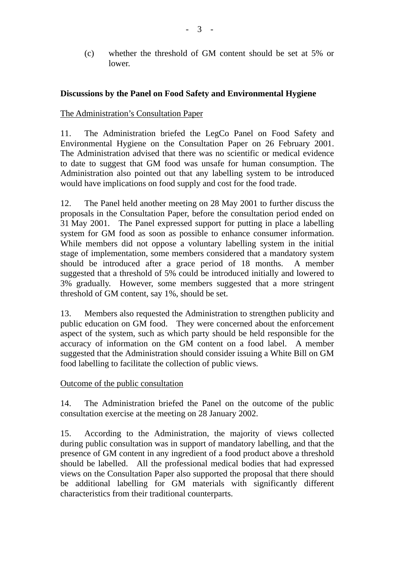(c) whether the threshold of GM content should be set at 5% or lower.

## **Discussions by the Panel on Food Safety and Environmental Hygiene**

### The Administration's Consultation Paper

11. The Administration briefed the LegCo Panel on Food Safety and Environmental Hygiene on the Consultation Paper on 26 February 2001. The Administration advised that there was no scientific or medical evidence to date to suggest that GM food was unsafe for human consumption. The Administration also pointed out that any labelling system to be introduced would have implications on food supply and cost for the food trade.

12. The Panel held another meeting on 28 May 2001 to further discuss the proposals in the Consultation Paper, before the consultation period ended on 31 May 2001. The Panel expressed support for putting in place a labelling system for GM food as soon as possible to enhance consumer information. While members did not oppose a voluntary labelling system in the initial stage of implementation, some members considered that a mandatory system should be introduced after a grace period of 18 months. A member suggested that a threshold of 5% could be introduced initially and lowered to 3% gradually. However, some members suggested that a more stringent threshold of GM content, say 1%, should be set.

13. Members also requested the Administration to strengthen publicity and public education on GM food. They were concerned about the enforcement aspect of the system, such as which party should be held responsible for the accuracy of information on the GM content on a food label. A member suggested that the Administration should consider issuing a White Bill on GM food labelling to facilitate the collection of public views.

#### Outcome of the public consultation

14. The Administration briefed the Panel on the outcome of the public consultation exercise at the meeting on 28 January 2002.

15. According to the Administration, the majority of views collected during public consultation was in support of mandatory labelling, and that the presence of GM content in any ingredient of a food product above a threshold should be labelled. All the professional medical bodies that had expressed views on the Consultation Paper also supported the proposal that there should be additional labelling for GM materials with significantly different characteristics from their traditional counterparts.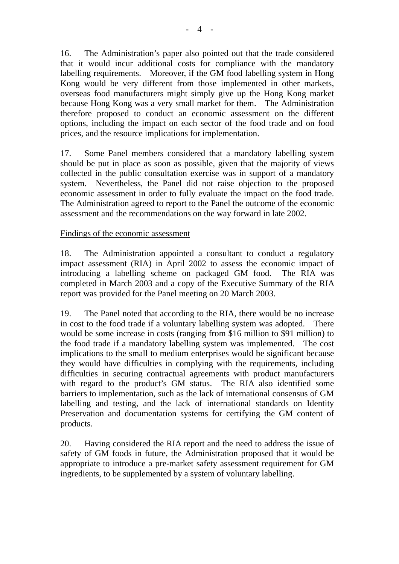16. The Administration's paper also pointed out that the trade considered that it would incur additional costs for compliance with the mandatory labelling requirements. Moreover, if the GM food labelling system in Hong Kong would be very different from those implemented in other markets, overseas food manufacturers might simply give up the Hong Kong market because Hong Kong was a very small market for them. The Administration therefore proposed to conduct an economic assessment on the different options, including the impact on each sector of the food trade and on food prices, and the resource implications for implementation.

17. Some Panel members considered that a mandatory labelling system should be put in place as soon as possible, given that the majority of views collected in the public consultation exercise was in support of a mandatory system. Nevertheless, the Panel did not raise objection to the proposed economic assessment in order to fully evaluate the impact on the food trade. The Administration agreed to report to the Panel the outcome of the economic assessment and the recommendations on the way forward in late 2002.

### Findings of the economic assessment

18. The Administration appointed a consultant to conduct a regulatory impact assessment (RIA) in April 2002 to assess the economic impact of introducing a labelling scheme on packaged GM food. The RIA was completed in March 2003 and a copy of the Executive Summary of the RIA report was provided for the Panel meeting on 20 March 2003.

19. The Panel noted that according to the RIA, there would be no increase in cost to the food trade if a voluntary labelling system was adopted. There would be some increase in costs (ranging from \$16 million to \$91 million) to the food trade if a mandatory labelling system was implemented. The cost implications to the small to medium enterprises would be significant because they would have difficulties in complying with the requirements, including difficulties in securing contractual agreements with product manufacturers with regard to the product's GM status. The RIA also identified some barriers to implementation, such as the lack of international consensus of GM labelling and testing, and the lack of international standards on Identity Preservation and documentation systems for certifying the GM content of products.

20. Having considered the RIA report and the need to address the issue of safety of GM foods in future, the Administration proposed that it would be appropriate to introduce a pre-market safety assessment requirement for GM ingredients, to be supplemented by a system of voluntary labelling.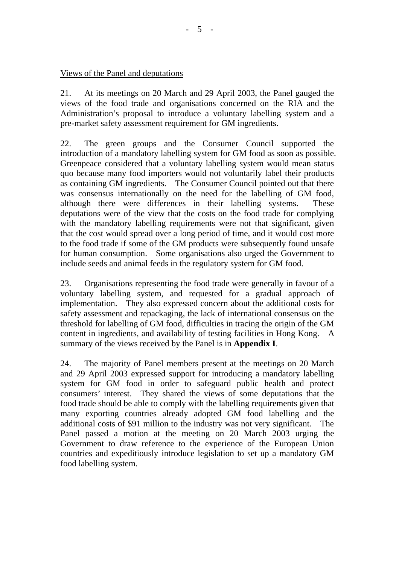#### Views of the Panel and deputations

21. At its meetings on 20 March and 29 April 2003, the Panel gauged the views of the food trade and organisations concerned on the RIA and the Administration's proposal to introduce a voluntary labelling system and a pre-market safety assessment requirement for GM ingredients.

22. The green groups and the Consumer Council supported the introduction of a mandatory labelling system for GM food as soon as possible. Greenpeace considered that a voluntary labelling system would mean status quo because many food importers would not voluntarily label their products as containing GM ingredients. The Consumer Council pointed out that there was consensus internationally on the need for the labelling of GM food, although there were differences in their labelling systems. These deputations were of the view that the costs on the food trade for complying with the mandatory labelling requirements were not that significant, given that the cost would spread over a long period of time, and it would cost more to the food trade if some of the GM products were subsequently found unsafe for human consumption. Some organisations also urged the Government to include seeds and animal feeds in the regulatory system for GM food.

23. Organisations representing the food trade were generally in favour of a voluntary labelling system, and requested for a gradual approach of implementation. They also expressed concern about the additional costs for safety assessment and repackaging, the lack of international consensus on the threshold for labelling of GM food, difficulties in tracing the origin of the GM content in ingredients, and availability of testing facilities in Hong Kong. A summary of the views received by the Panel is in **Appendix I**.

24. The majority of Panel members present at the meetings on 20 March and 29 April 2003 expressed support for introducing a mandatory labelling system for GM food in order to safeguard public health and protect consumers' interest. They shared the views of some deputations that the food trade should be able to comply with the labelling requirements given that many exporting countries already adopted GM food labelling and the additional costs of \$91 million to the industry was not very significant. The Panel passed a motion at the meeting on 20 March 2003 urging the Government to draw reference to the experience of the European Union countries and expeditiously introduce legislation to set up a mandatory GM food labelling system.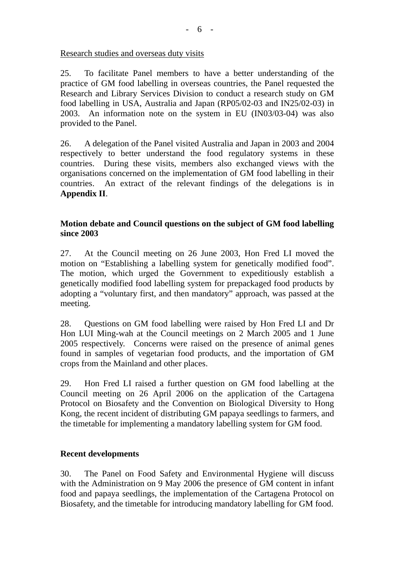25. To facilitate Panel members to have a better understanding of the practice of GM food labelling in overseas countries, the Panel requested the Research and Library Services Division to conduct a research study on GM food labelling in USA, Australia and Japan (RP05/02-03 and IN25/02-03) in 2003. An information note on the system in EU (IN03/03-04) was also provided to the Panel.

26. A delegation of the Panel visited Australia and Japan in 2003 and 2004 respectively to better understand the food regulatory systems in these countries. During these visits, members also exchanged views with the organisations concerned on the implementation of GM food labelling in their countries. An extract of the relevant findings of the delegations is in **Appendix II**.

## **Motion debate and Council questions on the subject of GM food labelling since 2003**

27. At the Council meeting on 26 June 2003, Hon Fred LI moved the motion on "Establishing a labelling system for genetically modified food". The motion, which urged the Government to expeditiously establish a genetically modified food labelling system for prepackaged food products by adopting a "voluntary first, and then mandatory" approach, was passed at the meeting.

28. Questions on GM food labelling were raised by Hon Fred LI and Dr Hon LUI Ming-wah at the Council meetings on 2 March 2005 and 1 June 2005 respectively. Concerns were raised on the presence of animal genes found in samples of vegetarian food products, and the importation of GM crops from the Mainland and other places.

29. Hon Fred LI raised a further question on GM food labelling at the Council meeting on 26 April 2006 on the application of the Cartagena Protocol on Biosafety and the Convention on Biological Diversity to Hong Kong, the recent incident of distributing GM papaya seedlings to farmers, and the timetable for implementing a mandatory labelling system for GM food.

## **Recent developments**

30. The Panel on Food Safety and Environmental Hygiene will discuss with the Administration on 9 May 2006 the presence of GM content in infant food and papaya seedlings, the implementation of the Cartagena Protocol on Biosafety, and the timetable for introducing mandatory labelling for GM food.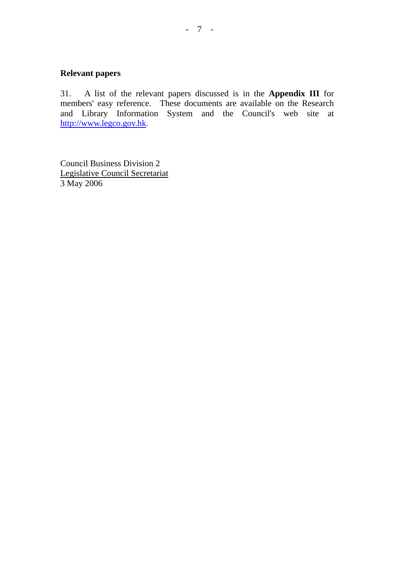## **Relevant papers**

31. A list of the relevant papers discussed is in the **Appendix III** for members' easy reference. These documents are available on the Research and Library Information System and the Council's web site at http://www.legco.gov.hk.

Council Business Division 2 Legislative Council Secretariat 3 May 2006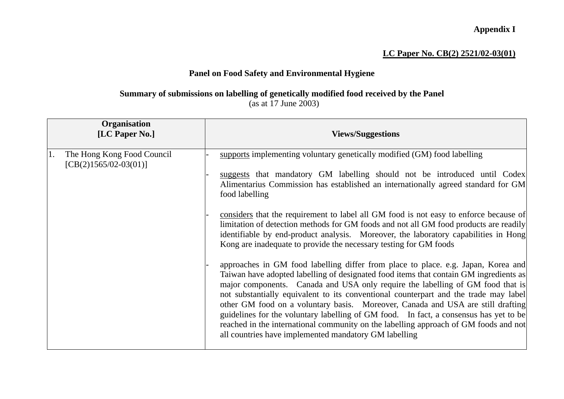# **Appendix I**

# **LC Paper No. CB(2) 2521/02-03(01)**

# **Panel on Food Safety and Environmental Hygiene**

### **Summary of submissions on labelling of genetically modified food received by the Panel**  (as at 17 June 2003)

| Organisation<br>[LC Paper No.]                              | <b>Views/Suggestions</b>                                                                                                                                                                                                                                                                                                                                                                                                                                                                                                                                                                                                                                                                                                                                                                                                                                                                                                                                                                                                                                                                                                                                                                                                                                                                        |
|-------------------------------------------------------------|-------------------------------------------------------------------------------------------------------------------------------------------------------------------------------------------------------------------------------------------------------------------------------------------------------------------------------------------------------------------------------------------------------------------------------------------------------------------------------------------------------------------------------------------------------------------------------------------------------------------------------------------------------------------------------------------------------------------------------------------------------------------------------------------------------------------------------------------------------------------------------------------------------------------------------------------------------------------------------------------------------------------------------------------------------------------------------------------------------------------------------------------------------------------------------------------------------------------------------------------------------------------------------------------------|
| 1.<br>The Hong Kong Food Council<br>$[CB(2)1565/02-03(01)]$ | supports implementing voluntary genetically modified (GM) food labelling<br>suggests that mandatory GM labelling should not be introduced until Codex<br>Alimentarius Commission has established an internationally agreed standard for GM<br>food labelling<br>considers that the requirement to label all GM food is not easy to enforce because of<br>limitation of detection methods for GM foods and not all GM food products are readily<br>identifiable by end-product analysis. Moreover, the laboratory capabilities in Hong<br>Kong are inadequate to provide the necessary testing for GM foods<br>approaches in GM food labelling differ from place to place. e.g. Japan, Korea and<br>Taiwan have adopted labelling of designated food items that contain GM ingredients as<br>major components. Canada and USA only require the labelling of GM food that is<br>not substantially equivalent to its conventional counterpart and the trade may label<br>other GM food on a voluntary basis. Moreover, Canada and USA are still drafting<br>guidelines for the voluntary labelling of GM food. In fact, a consensus has yet to be<br>reached in the international community on the labelling approach of GM foods and not<br>all countries have implemented mandatory GM labelling |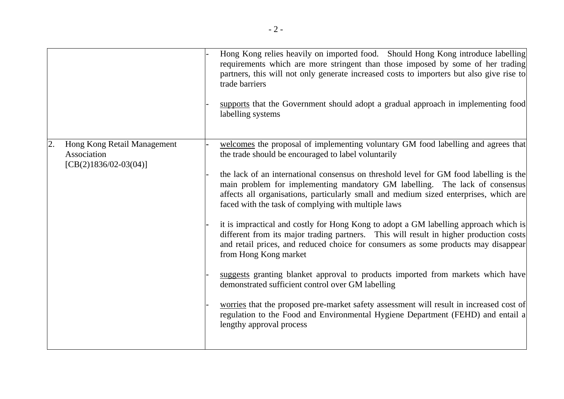|                                                                             | Hong Kong relies heavily on imported food. Should Hong Kong introduce labelling<br>requirements which are more stringent than those imposed by some of her trading<br>partners, this will not only generate increased costs to importers but also give rise to<br>trade barriers<br>supports that the Government should adopt a gradual approach in implementing food<br>labelling systems                                                                                                                                                                                                                                                                                                                                                                                                                                                                                                                                                                                                                                                                                                                           |
|-----------------------------------------------------------------------------|----------------------------------------------------------------------------------------------------------------------------------------------------------------------------------------------------------------------------------------------------------------------------------------------------------------------------------------------------------------------------------------------------------------------------------------------------------------------------------------------------------------------------------------------------------------------------------------------------------------------------------------------------------------------------------------------------------------------------------------------------------------------------------------------------------------------------------------------------------------------------------------------------------------------------------------------------------------------------------------------------------------------------------------------------------------------------------------------------------------------|
| Hong Kong Retail Management<br>2.<br>Association<br>$[CB(2)1836/02-03(04)]$ | welcomes the proposal of implementing voluntary GM food labelling and agrees that<br>the trade should be encouraged to label voluntarily<br>the lack of an international consensus on threshold level for GM food labelling is the<br>main problem for implementing mandatory GM labelling. The lack of consensus<br>affects all organisations, particularly small and medium sized enterprises, which are<br>faced with the task of complying with multiple laws<br>it is impractical and costly for Hong Kong to adopt a GM labelling approach which is<br>different from its major trading partners. This will result in higher production costs<br>and retail prices, and reduced choice for consumers as some products may disappear<br>from Hong Kong market<br>suggests granting blanket approval to products imported from markets which have<br>demonstrated sufficient control over GM labelling<br>worries that the proposed pre-market safety assessment will result in increased cost of<br>regulation to the Food and Environmental Hygiene Department (FEHD) and entail a<br>lengthy approval process |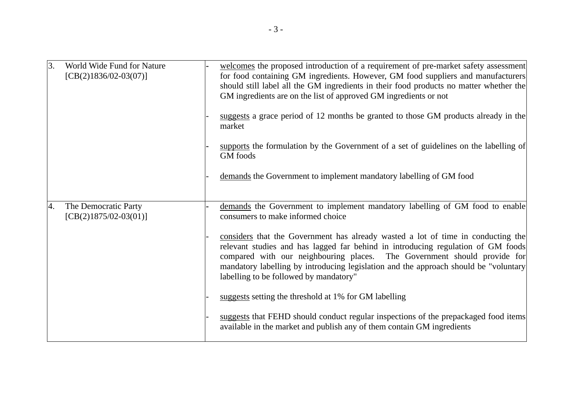| $\overline{3}$ . | World Wide Fund for Nature<br>$[CB(2)1836/02-03(07)]$ | welcomes the proposed introduction of a requirement of pre-market safety assessment<br>for food containing GM ingredients. However, GM food suppliers and manufacturers<br>should still label all the GM ingredients in their food products no matter whether the<br>GM ingredients are on the list of approved GM ingredients or not                                              |
|------------------|-------------------------------------------------------|------------------------------------------------------------------------------------------------------------------------------------------------------------------------------------------------------------------------------------------------------------------------------------------------------------------------------------------------------------------------------------|
|                  |                                                       | suggests a grace period of 12 months be granted to those GM products already in the<br>market                                                                                                                                                                                                                                                                                      |
|                  |                                                       | supports the formulation by the Government of a set of guidelines on the labelling of<br>GM foods                                                                                                                                                                                                                                                                                  |
|                  |                                                       | demands the Government to implement mandatory labelling of GM food                                                                                                                                                                                                                                                                                                                 |
| 4.               | The Democratic Party<br>$[CB(2)1875/02-03(01)]$       | demands the Government to implement mandatory labelling of GM food to enable<br>consumers to make informed choice                                                                                                                                                                                                                                                                  |
|                  |                                                       | considers that the Government has already wasted a lot of time in conducting the<br>relevant studies and has lagged far behind in introducing regulation of GM foods<br>compared with our neighbouring places. The Government should provide for<br>mandatory labelling by introducing legislation and the approach should be "voluntary<br>labelling to be followed by mandatory" |
|                  |                                                       | suggests setting the threshold at 1% for GM labelling                                                                                                                                                                                                                                                                                                                              |
|                  |                                                       | suggests that FEHD should conduct regular inspections of the prepackaged food items<br>available in the market and publish any of them contain GM ingredients                                                                                                                                                                                                                      |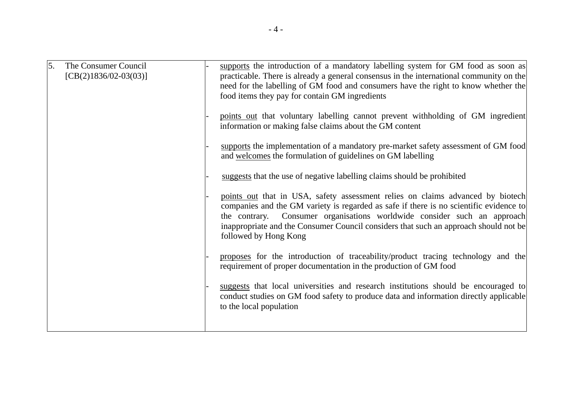| 5. | The Consumer Council<br>$[CB(2)1836/02-03(03)]$ | supports the introduction of a mandatory labelling system for GM food as soon as<br>practicable. There is already a general consensus in the international community on the<br>need for the labelling of GM food and consumers have the right to know whether the                                                                                                        |
|----|-------------------------------------------------|--------------------------------------------------------------------------------------------------------------------------------------------------------------------------------------------------------------------------------------------------------------------------------------------------------------------------------------------------------------------------|
|    |                                                 | food items they pay for contain GM ingredients<br>points out that voluntary labelling cannot prevent withholding of GM ingredient<br>information or making false claims about the GM content                                                                                                                                                                             |
|    |                                                 | supports the implementation of a mandatory pre-market safety assessment of GM food<br>and welcomes the formulation of guidelines on GM labelling                                                                                                                                                                                                                         |
|    |                                                 | suggests that the use of negative labelling claims should be prohibited                                                                                                                                                                                                                                                                                                  |
|    |                                                 | points out that in USA, safety assessment relies on claims advanced by biotech<br>companies and the GM variety is regarded as safe if there is no scientific evidence to<br>Consumer organisations worldwide consider such an approach<br>the contrary.<br>inappropriate and the Consumer Council considers that such an approach should not be<br>followed by Hong Kong |
|    |                                                 | proposes for the introduction of traceability/product tracing technology and the<br>requirement of proper documentation in the production of GM food                                                                                                                                                                                                                     |
|    |                                                 | suggests that local universities and research institutions should be encouraged to<br>conduct studies on GM food safety to produce data and information directly applicable<br>to the local population                                                                                                                                                                   |
|    |                                                 |                                                                                                                                                                                                                                                                                                                                                                          |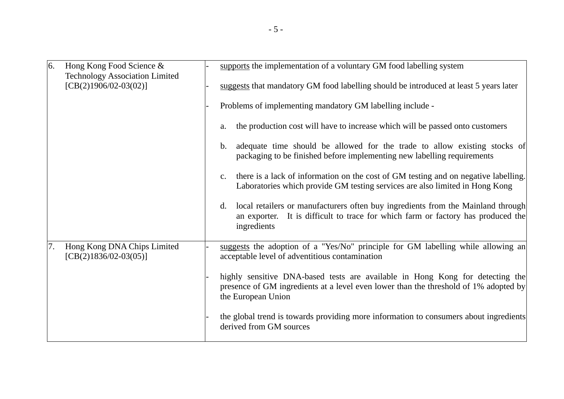| 6. | Hong Kong Food Science &<br><b>Technology Association Limited</b><br>$[CB(2)1906/02-03(02)]$ |          | supports the implementation of a voluntary GM food labelling system<br>suggests that mandatory GM food labelling should be introduced at least 5 years later<br>Problems of implementing mandatory GM labelling include -<br>the production cost will have to increase which will be passed onto customers<br>a.<br>adequate time should be allowed for the trade to allow existing stocks of<br>b.<br>packaging to be finished before implementing new labelling requirements |  |
|----|----------------------------------------------------------------------------------------------|----------|--------------------------------------------------------------------------------------------------------------------------------------------------------------------------------------------------------------------------------------------------------------------------------------------------------------------------------------------------------------------------------------------------------------------------------------------------------------------------------|--|
|    |                                                                                              | c.<br>d. | there is a lack of information on the cost of GM testing and on negative labelling.<br>Laboratories which provide GM testing services are also limited in Hong Kong<br>local retailers or manufacturers often buy ingredients from the Mainland through<br>It is difficult to trace for which farm or factory has produced the<br>an exporter.<br>ingredients                                                                                                                  |  |
| 7. | Hong Kong DNA Chips Limited<br>$[CB(2)1836/02-03(05)]$                                       |          | suggests the adoption of a "Yes/No" principle for GM labelling while allowing an<br>acceptable level of adventitious contamination<br>highly sensitive DNA-based tests are available in Hong Kong for detecting the<br>presence of GM ingredients at a level even lower than the threshold of 1% adopted by<br>the European Union<br>the global trend is towards providing more information to consumers about ingredients<br>derived from GM sources                          |  |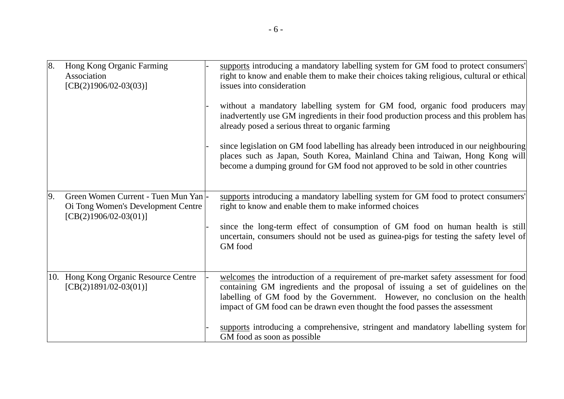| 8. | Hong Kong Organic Farming<br>Association<br>$[CB(2)1906/02-03(03)]$                                 | supports introducing a mandatory labelling system for GM food to protect consumers'<br>right to know and enable them to make their choices taking religious, cultural or ethical<br>issues into consideration<br>without a mandatory labelling system for GM food, organic food producers may<br>inadvertently use GM ingredients in their food production process and this problem has<br>already posed a serious threat to organic farming<br>since legislation on GM food labelling has already been introduced in our neighbouring<br>places such as Japan, South Korea, Mainland China and Taiwan, Hong Kong will<br>become a dumping ground for GM food not approved to be sold in other countries |
|----|-----------------------------------------------------------------------------------------------------|----------------------------------------------------------------------------------------------------------------------------------------------------------------------------------------------------------------------------------------------------------------------------------------------------------------------------------------------------------------------------------------------------------------------------------------------------------------------------------------------------------------------------------------------------------------------------------------------------------------------------------------------------------------------------------------------------------|
| 9. | Green Women Current - Tuen Mun Yan<br>Oi Tong Women's Development Centre<br>$[CB(2)1906/02-03(01)]$ | supports introducing a mandatory labelling system for GM food to protect consumers'<br>right to know and enable them to make informed choices<br>since the long-term effect of consumption of GM food on human health is still<br>uncertain, consumers should not be used as guinea-pigs for testing the safety level of<br>GM food                                                                                                                                                                                                                                                                                                                                                                      |
|    | 10. Hong Kong Organic Resource Centre<br>$[CB(2)1891/02-03(01)]$                                    | welcomes the introduction of a requirement of pre-market safety assessment for food<br>containing GM ingredients and the proposal of issuing a set of guidelines on the<br>labelling of GM food by the Government. However, no conclusion on the health<br>impact of GM food can be drawn even thought the food passes the assessment<br>supports introducing a comprehensive, stringent and mandatory labelling system for<br>GM food as soon as possible                                                                                                                                                                                                                                               |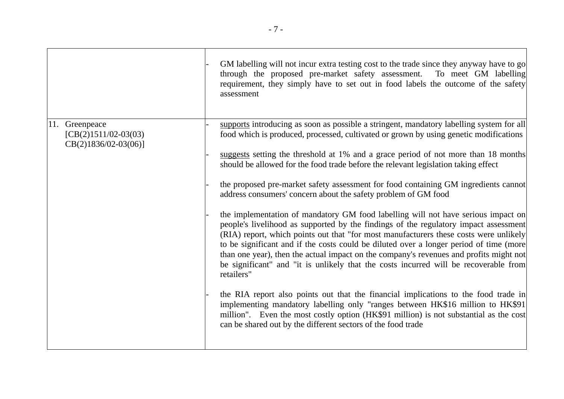|                                                                    | GM labelling will not incur extra testing cost to the trade since they anyway have to go<br>through the proposed pre-market safety assessment. To meet GM labelling<br>requirement, they simply have to set out in food labels the outcome of the safety<br>assessment                                                                                                                                                                                                                                                                                                                                                                                                                                                                                                                                                                                                                                                                                                                                                                                                                                                                                                                                                                                                                                                                                                                                                   |
|--------------------------------------------------------------------|--------------------------------------------------------------------------------------------------------------------------------------------------------------------------------------------------------------------------------------------------------------------------------------------------------------------------------------------------------------------------------------------------------------------------------------------------------------------------------------------------------------------------------------------------------------------------------------------------------------------------------------------------------------------------------------------------------------------------------------------------------------------------------------------------------------------------------------------------------------------------------------------------------------------------------------------------------------------------------------------------------------------------------------------------------------------------------------------------------------------------------------------------------------------------------------------------------------------------------------------------------------------------------------------------------------------------------------------------------------------------------------------------------------------------|
| 11. Greenpeace<br>$[CB(2)1511/02-03(03)]$<br>$CB(2)1836/02-03(06)$ | supports introducing as soon as possible a stringent, mandatory labelling system for all<br>food which is produced, processed, cultivated or grown by using genetic modifications<br>suggests setting the threshold at 1% and a grace period of not more than 18 months<br>should be allowed for the food trade before the relevant legislation taking effect<br>the proposed pre-market safety assessment for food containing GM ingredients cannot<br>address consumers' concern about the safety problem of GM food<br>the implementation of mandatory GM food labelling will not have serious impact on<br>people's livelihood as supported by the findings of the regulatory impact assessment<br>(RIA) report, which points out that "for most manufacturers these costs were unlikely<br>to be significant and if the costs could be diluted over a longer period of time (more<br>than one year), then the actual impact on the company's revenues and profits might not<br>be significant" and "it is unlikely that the costs incurred will be recoverable from<br>retailers"<br>the RIA report also points out that the financial implications to the food trade in<br>implementing mandatory labelling only "ranges between HK\$16 million to HK\$91<br>million". Even the most costly option (HK\$91 million) is not substantial as the cost<br>can be shared out by the different sectors of the food trade |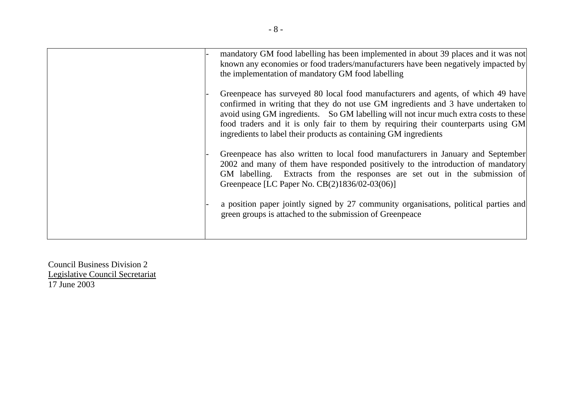| mandatory GM food labelling has been implemented in about 39 places and it was not<br>known any economies or food traders/manufacturers have been negatively impacted by<br>the implementation of mandatory GM food labelling                                                                                                                                                                                          |
|------------------------------------------------------------------------------------------------------------------------------------------------------------------------------------------------------------------------------------------------------------------------------------------------------------------------------------------------------------------------------------------------------------------------|
| Greenpeace has surveyed 80 local food manufacturers and agents, of which 49 have<br>confirmed in writing that they do not use GM ingredients and 3 have undertaken to<br>avoid using GM ingredients. So GM labelling will not incur much extra costs to these<br>food traders and it is only fair to them by requiring their counterparts using GM<br>ingredients to label their products as containing GM ingredients |
| Greenpeace has also written to local food manufacturers in January and September<br>2002 and many of them have responded positively to the introduction of mandatory<br>GM labelling. Extracts from the responses are set out in the submission of<br>Greenpeace [LC Paper No. CB(2)1836/02-03(06)]                                                                                                                    |
| a position paper jointly signed by 27 community organisations, political parties and<br>green groups is attached to the submission of Greenpeace                                                                                                                                                                                                                                                                       |

Council Business Division 2 Legislative Council Secretariat 17 June 2003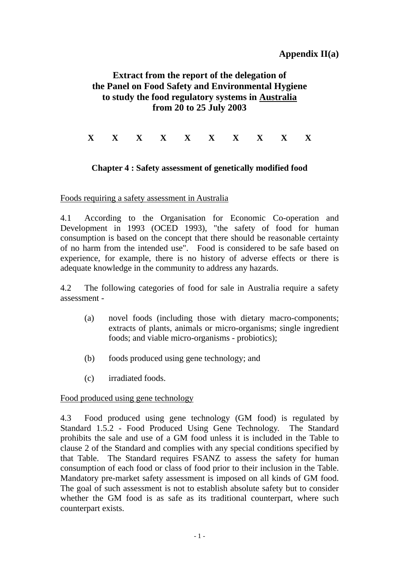# **Appendix II(a)**

# **Extract from the report of the delegation of the Panel on Food Safety and Environmental Hygiene to study the food regulatory systems in Australia from 20 to 25 July 2003**

**X X X X X X X X X X** 

## **Chapter 4 : Safety assessment of genetically modified food**

Foods requiring a safety assessment in Australia

4.1 According to the Organisation for Economic Co-operation and Development in 1993 (OCED 1993), "the safety of food for human consumption is based on the concept that there should be reasonable certainty of no harm from the intended use". Food is considered to be safe based on experience, for example, there is no history of adverse effects or there is adequate knowledge in the community to address any hazards.

4.2 The following categories of food for sale in Australia require a safety assessment -

- (a) novel foods (including those with dietary macro-components; extracts of plants, animals or micro-organisms; single ingredient foods; and viable micro-organisms - probiotics);
- (b) foods produced using gene technology; and
- (c) irradiated foods.

Food produced using gene technology

4.3 Food produced using gene technology (GM food) is regulated by Standard 1.5.2 - Food Produced Using Gene Technology. The Standard prohibits the sale and use of a GM food unless it is included in the Table to clause 2 of the Standard and complies with any special conditions specified by that Table. The Standard requires FSANZ to assess the safety for human consumption of each food or class of food prior to their inclusion in the Table. Mandatory pre-market safety assessment is imposed on all kinds of GM food. The goal of such assessment is not to establish absolute safety but to consider whether the GM food is as safe as its traditional counterpart, where such counterpart exists.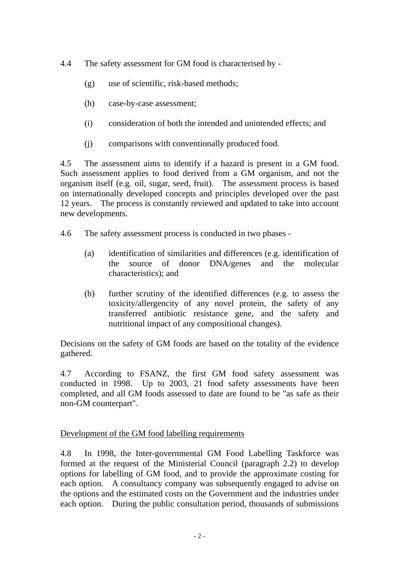- 4.4 The safety assessment for GM food is characterised by
	- (g) use of scientific, risk-based methods;
	- (h) case-by-case assessment;
	- (i) consideration of both the intended and unintended effects; and
	- (j) comparisons with conventionally produced food.

4.5 The assessment aims to identify if a hazard is present in a GM food. Such assessment applies to food derived from a GM organism, and not the organism itself (e.g. oil, sugar, seed, fruit). The assessment process is based on internationally developed concepts and principles developed over the past 12 years. The process is constantly reviewed and updated to take into account new developments.

- 4.6 The safety assessment process is conducted in two phases
	- (a) identification of similarities and differences (e.g. identification of the source of donor DNA/genes and the molecular characteristics); and
	- (b) further scrutiny of the identified differences (e.g. to assess the toxicity/allergencity of any novel protein, the safety of any transferred antibiotic resistance gene, and the safety and nutritional impact of any compositional changes).

Decisions on the safety of GM foods are based on the totality of the evidence gathered.

4.7 According to FSANZ, the first GM food safety assessment was conducted in 1998. Up to 2003, 21 food safety assessments have been completed, and all GM foods assessed to date are found to be "as safe as their non-GM counterpart".

### Development of the GM food labelling requirements

4.8 In 1998, the Inter-governmental GM Food Labelling Taskforce was formed at the request of the Ministerial Council (paragraph 2.2) to develop options for labelling of GM food, and to provide the approximate costing for each option. A consultancy company was subsequently engaged to advise on the options and the estimated costs on the Government and the industries under each option. During the public consultation period, thousands of submissions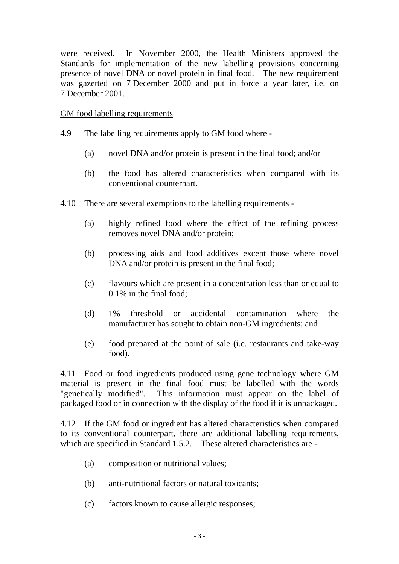were received. In November 2000, the Health Ministers approved the Standards for implementation of the new labelling provisions concerning presence of novel DNA or novel protein in final food. The new requirement was gazetted on 7 December 2000 and put in force a year later, i.e. on 7 December 2001.

### GM food labelling requirements

- 4.9 The labelling requirements apply to GM food where
	- (a) novel DNA and/or protein is present in the final food; and/or
	- (b) the food has altered characteristics when compared with its conventional counterpart.
- 4.10 There are several exemptions to the labelling requirements
	- (a) highly refined food where the effect of the refining process removes novel DNA and/or protein;
	- (b) processing aids and food additives except those where novel DNA and/or protein is present in the final food;
	- (c) flavours which are present in a concentration less than or equal to 0.1% in the final food;
	- (d) 1% threshold or accidental contamination where the manufacturer has sought to obtain non-GM ingredients; and
	- (e) food prepared at the point of sale (i.e. restaurants and take-way food).

4.11 Food or food ingredients produced using gene technology where GM material is present in the final food must be labelled with the words "genetically modified". This information must appear on the label of packaged food or in connection with the display of the food if it is unpackaged.

4.12 If the GM food or ingredient has altered characteristics when compared to its conventional counterpart, there are additional labelling requirements, which are specified in Standard 1.5.2. These altered characteristics are -

- (a) composition or nutritional values;
- (b) anti-nutritional factors or natural toxicants;
- (c) factors known to cause allergic responses;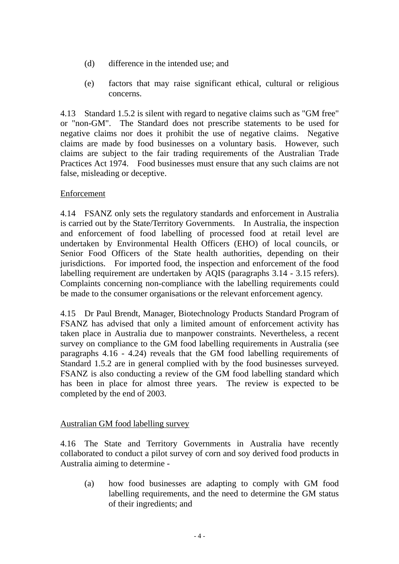- (d) difference in the intended use; and
- (e) factors that may raise significant ethical, cultural or religious concerns.

4.13 Standard 1.5.2 is silent with regard to negative claims such as "GM free" or "non-GM". The Standard does not prescribe statements to be used for negative claims nor does it prohibit the use of negative claims. Negative claims are made by food businesses on a voluntary basis. However, such claims are subject to the fair trading requirements of the Australian Trade Practices Act 1974. Food businesses must ensure that any such claims are not false, misleading or deceptive.

## Enforcement

4.14 FSANZ only sets the regulatory standards and enforcement in Australia is carried out by the State/Territory Governments. In Australia, the inspection and enforcement of food labelling of processed food at retail level are undertaken by Environmental Health Officers (EHO) of local councils, or Senior Food Officers of the State health authorities, depending on their jurisdictions. For imported food, the inspection and enforcement of the food labelling requirement are undertaken by AQIS (paragraphs 3.14 - 3.15 refers). Complaints concerning non-compliance with the labelling requirements could be made to the consumer organisations or the relevant enforcement agency.

4.15 Dr Paul Brendt, Manager, Biotechnology Products Standard Program of FSANZ has advised that only a limited amount of enforcement activity has taken place in Australia due to manpower constraints. Nevertheless, a recent survey on compliance to the GM food labelling requirements in Australia (see paragraphs 4.16 - 4.24) reveals that the GM food labelling requirements of Standard 1.5.2 are in general complied with by the food businesses surveyed. FSANZ is also conducting a review of the GM food labelling standard which has been in place for almost three years. The review is expected to be completed by the end of 2003.

### Australian GM food labelling survey

4.16 The State and Territory Governments in Australia have recently collaborated to conduct a pilot survey of corn and soy derived food products in Australia aiming to determine -

(a) how food businesses are adapting to comply with GM food labelling requirements, and the need to determine the GM status of their ingredients; and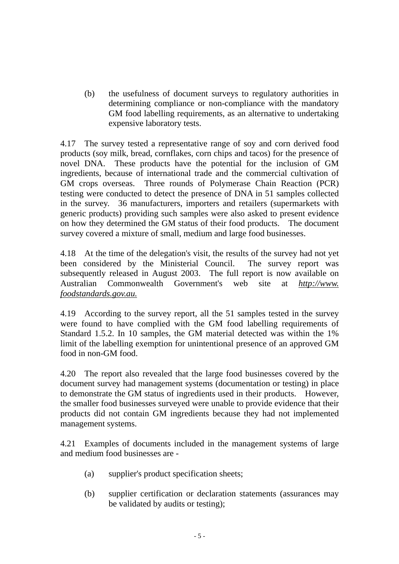(b) the usefulness of document surveys to regulatory authorities in determining compliance or non-compliance with the mandatory GM food labelling requirements, as an alternative to undertaking expensive laboratory tests.

4.17 The survey tested a representative range of soy and corn derived food products (soy milk, bread, cornflakes, corn chips and tacos) for the presence of novel DNA. These products have the potential for the inclusion of GM ingredients, because of international trade and the commercial cultivation of GM crops overseas. Three rounds of Polymerase Chain Reaction (PCR) testing were conducted to detect the presence of DNA in 51 samples collected in the survey. 36 manufacturers, importers and retailers (supermarkets with generic products) providing such samples were also asked to present evidence on how they determined the GM status of their food products. The document survey covered a mixture of small, medium and large food businesses.

4.18 At the time of the delegation's visit, the results of the survey had not yet been considered by the Ministerial Council. The survey report was subsequently released in August 2003. The full report is now available on Australian Commonwealth Government's web site at *http://www. foodstandards.gov.au.*

4.19 According to the survey report, all the 51 samples tested in the survey were found to have complied with the GM food labelling requirements of Standard 1.5.2. In 10 samples, the GM material detected was within the 1% limit of the labelling exemption for unintentional presence of an approved GM food in non-GM food.

4.20 The report also revealed that the large food businesses covered by the document survey had management systems (documentation or testing) in place to demonstrate the GM status of ingredients used in their products. However, the smaller food businesses surveyed were unable to provide evidence that their products did not contain GM ingredients because they had not implemented management systems.

4.21 Examples of documents included in the management systems of large and medium food businesses are -

- (a) supplier's product specification sheets;
- (b) supplier certification or declaration statements (assurances may be validated by audits or testing);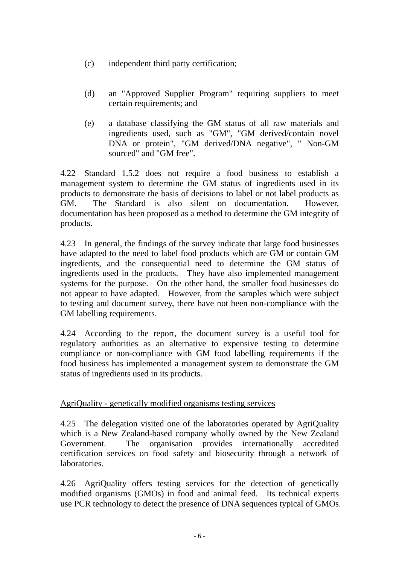- (c) independent third party certification;
- (d) an "Approved Supplier Program" requiring suppliers to meet certain requirements; and
- (e) a database classifying the GM status of all raw materials and ingredients used, such as "GM", "GM derived/contain novel DNA or protein", "GM derived/DNA negative", " Non-GM sourced" and "GM free".

4.22 Standard 1.5.2 does not require a food business to establish a management system to determine the GM status of ingredients used in its products to demonstrate the basis of decisions to label or not label products as GM. The Standard is also silent on documentation. However, documentation has been proposed as a method to determine the GM integrity of products.

4.23 In general, the findings of the survey indicate that large food businesses have adapted to the need to label food products which are GM or contain GM ingredients, and the consequential need to determine the GM status of ingredients used in the products. They have also implemented management systems for the purpose. On the other hand, the smaller food businesses do not appear to have adapted. However, from the samples which were subject to testing and document survey, there have not been non-compliance with the GM labelling requirements.

4.24 According to the report, the document survey is a useful tool for regulatory authorities as an alternative to expensive testing to determine compliance or non-compliance with GM food labelling requirements if the food business has implemented a management system to demonstrate the GM status of ingredients used in its products.

## AgriQuality - genetically modified organisms testing services

4.25 The delegation visited one of the laboratories operated by AgriQuality which is a New Zealand-based company wholly owned by the New Zealand Government. The organisation provides internationally accredited certification services on food safety and biosecurity through a network of laboratories.

4.26 AgriQuality offers testing services for the detection of genetically modified organisms (GMOs) in food and animal feed. Its technical experts use PCR technology to detect the presence of DNA sequences typical of GMOs.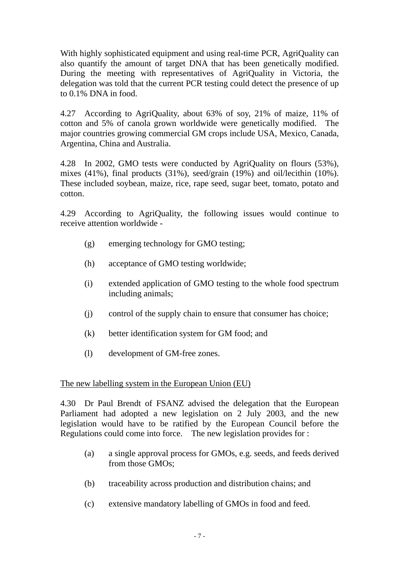With highly sophisticated equipment and using real-time PCR, AgriQuality can also quantify the amount of target DNA that has been genetically modified. During the meeting with representatives of AgriQuality in Victoria, the delegation was told that the current PCR testing could detect the presence of up to 0.1% DNA in food.

4.27 According to AgriQuality, about 63% of soy, 21% of maize, 11% of cotton and 5% of canola grown worldwide were genetically modified. The major countries growing commercial GM crops include USA, Mexico, Canada, Argentina, China and Australia.

4.28 In 2002, GMO tests were conducted by AgriQuality on flours (53%), mixes (41%), final products (31%), seed/grain (19%) and oil/lecithin (10%). These included soybean, maize, rice, rape seed, sugar beet, tomato, potato and cotton.

4.29 According to AgriQuality, the following issues would continue to receive attention worldwide -

- (g) emerging technology for GMO testing;
- (h) acceptance of GMO testing worldwide;
- (i) extended application of GMO testing to the whole food spectrum including animals;
- (j) control of the supply chain to ensure that consumer has choice;
- (k) better identification system for GM food; and
- (l) development of GM-free zones.

### The new labelling system in the European Union (EU)

4.30 Dr Paul Brendt of FSANZ advised the delegation that the European Parliament had adopted a new legislation on 2 July 2003, and the new legislation would have to be ratified by the European Council before the Regulations could come into force. The new legislation provides for :

- (a) a single approval process for GMOs, e.g. seeds, and feeds derived from those GMOs;
- (b) traceability across production and distribution chains; and
- (c) extensive mandatory labelling of GMOs in food and feed.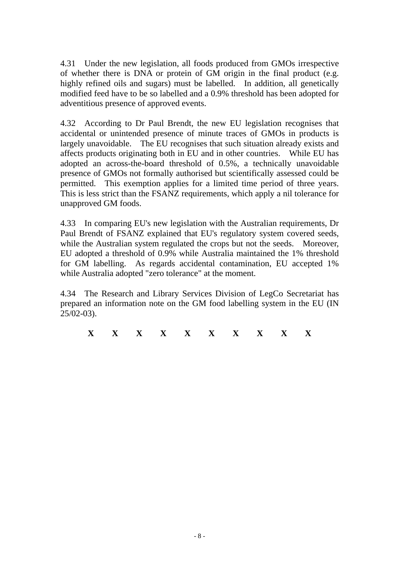4.31 Under the new legislation, all foods produced from GMOs irrespective of whether there is DNA or protein of GM origin in the final product (e.g. highly refined oils and sugars) must be labelled. In addition, all genetically modified feed have to be so labelled and a 0.9% threshold has been adopted for adventitious presence of approved events.

4.32 According to Dr Paul Brendt, the new EU legislation recognises that accidental or unintended presence of minute traces of GMOs in products is largely unavoidable. The EU recognises that such situation already exists and affects products originating both in EU and in other countries. While EU has adopted an across-the-board threshold of 0.5%, a technically unavoidable presence of GMOs not formally authorised but scientifically assessed could be permitted. This exemption applies for a limited time period of three years. This is less strict than the FSANZ requirements, which apply a nil tolerance for unapproved GM foods.

4.33 In comparing EU's new legislation with the Australian requirements, Dr Paul Brendt of FSANZ explained that EU's regulatory system covered seeds, while the Australian system regulated the crops but not the seeds. Moreover, EU adopted a threshold of 0.9% while Australia maintained the 1% threshold for GM labelling. As regards accidental contamination, EU accepted 1% while Australia adopted "zero tolerance" at the moment.

4.34 The Research and Library Services Division of LegCo Secretariat has prepared an information note on the GM food labelling system in the EU (IN 25/02-03).

| $-1$<br>∸ |  |  |  |  |  |
|-----------|--|--|--|--|--|
|           |  |  |  |  |  |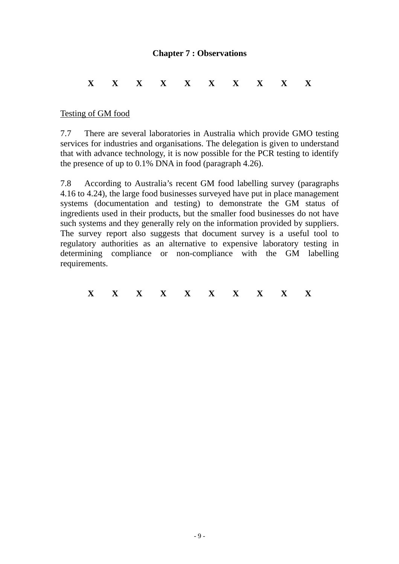#### **Chapter 7 : Observations**

## **X X X X X X X X X X**

#### Testing of GM food

7.7 There are several laboratories in Australia which provide GMO testing services for industries and organisations. The delegation is given to understand that with advance technology, it is now possible for the PCR testing to identify the presence of up to 0.1% DNA in food (paragraph 4.26).

7.8 According to Australia's recent GM food labelling survey (paragraphs 4.16 to 4.24), the large food businesses surveyed have put in place management systems (documentation and testing) to demonstrate the GM status of ingredients used in their products, but the smaller food businesses do not have such systems and they generally rely on the information provided by suppliers. The survey report also suggests that document survey is a useful tool to regulatory authorities as an alternative to expensive laboratory testing in determining compliance or non-compliance with the GM labelling requirements.

**X X X X X X X X X X**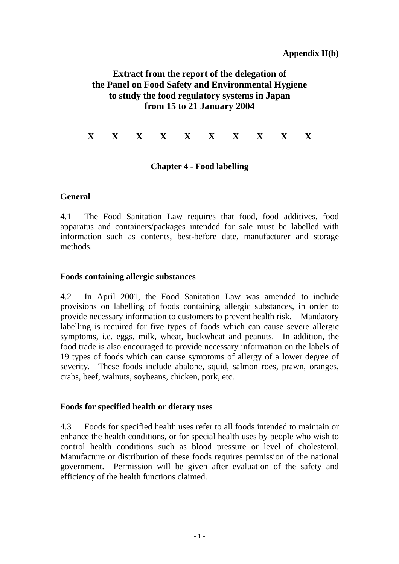**Appendix II(b)** 

# **Extract from the report of the delegation of the Panel on Food Safety and Environmental Hygiene to study the food regulatory systems in Japan from 15 to 21 January 2004**

**X X X X X X X X X X** 

### **Chapter 4 - Food labelling**

#### **General**

4.1 The Food Sanitation Law requires that food, food additives, food apparatus and containers/packages intended for sale must be labelled with information such as contents, best-before date, manufacturer and storage methods.

#### **Foods containing allergic substances**

4.2 In April 2001, the Food Sanitation Law was amended to include provisions on labelling of foods containing allergic substances, in order to provide necessary information to customers to prevent health risk. Mandatory labelling is required for five types of foods which can cause severe allergic symptoms, i.e. eggs, milk, wheat, buckwheat and peanuts. In addition, the food trade is also encouraged to provide necessary information on the labels of 19 types of foods which can cause symptoms of allergy of a lower degree of severity. These foods include abalone, squid, salmon roes, prawn, oranges, crabs, beef, walnuts, soybeans, chicken, pork, etc.

#### **Foods for specified health or dietary uses**

4.3 Foods for specified health uses refer to all foods intended to maintain or enhance the health conditions, or for special health uses by people who wish to control health conditions such as blood pressure or level of cholesterol. Manufacture or distribution of these foods requires permission of the national government. Permission will be given after evaluation of the safety and efficiency of the health functions claimed.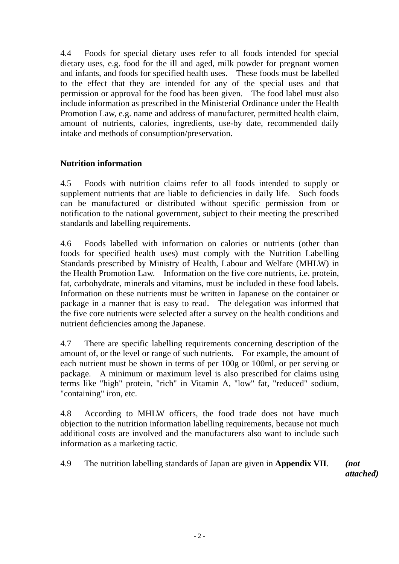4.4 Foods for special dietary uses refer to all foods intended for special dietary uses, e.g. food for the ill and aged, milk powder for pregnant women and infants, and foods for specified health uses. These foods must be labelled to the effect that they are intended for any of the special uses and that permission or approval for the food has been given. The food label must also include information as prescribed in the Ministerial Ordinance under the Health Promotion Law, e.g. name and address of manufacturer, permitted health claim, amount of nutrients, calories, ingredients, use-by date, recommended daily intake and methods of consumption/preservation.

## **Nutrition information**

4.5 Foods with nutrition claims refer to all foods intended to supply or supplement nutrients that are liable to deficiencies in daily life. Such foods can be manufactured or distributed without specific permission from or notification to the national government, subject to their meeting the prescribed standards and labelling requirements.

4.6 Foods labelled with information on calories or nutrients (other than foods for specified health uses) must comply with the Nutrition Labelling Standards prescribed by Ministry of Health, Labour and Welfare (MHLW) in the Health Promotion Law. Information on the five core nutrients, i.e. protein, fat, carbohydrate, minerals and vitamins, must be included in these food labels. Information on these nutrients must be written in Japanese on the container or package in a manner that is easy to read. The delegation was informed that the five core nutrients were selected after a survey on the health conditions and nutrient deficiencies among the Japanese.

4.7 There are specific labelling requirements concerning description of the amount of, or the level or range of such nutrients. For example, the amount of each nutrient must be shown in terms of per 100g or 100ml, or per serving or package. A minimum or maximum level is also prescribed for claims using terms like "high" protein, "rich" in Vitamin A, "low" fat, "reduced" sodium, "containing" iron, etc.

4.8 According to MHLW officers, the food trade does not have much objection to the nutrition information labelling requirements, because not much additional costs are involved and the manufacturers also want to include such information as a marketing tactic.

4.9 The nutrition labelling standards of Japan are given in **Appendix VII**. *(not* 

*attached)*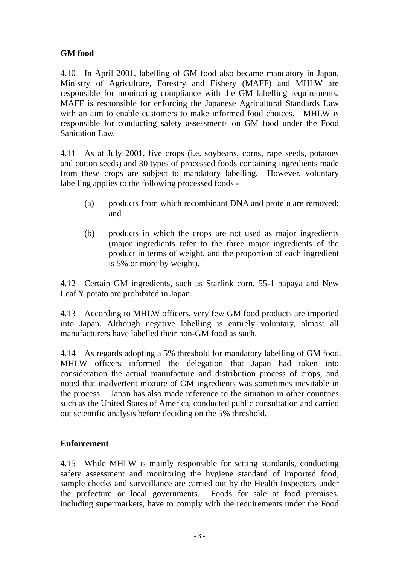## **GM food**

4.10 In April 2001, labelling of GM food also became mandatory in Japan. Ministry of Agriculture, Forestry and Fishery (MAFF) and MHLW are responsible for monitoring compliance with the GM labelling requirements. MAFF is responsible for enforcing the Japanese Agricultural Standards Law with an aim to enable customers to make informed food choices. MHLW is responsible for conducting safety assessments on GM food under the Food Sanitation Law.

4.11 As at July 2001, five crops (i.e. soybeans, corns, rape seeds, potatoes and cotton seeds) and 30 types of processed foods containing ingredients made from these crops are subject to mandatory labelling. However, voluntary labelling applies to the following processed foods -

- (a) products from which recombinant DNA and protein are removed; and
- (b) products in which the crops are not used as major ingredients (major ingredients refer to the three major ingredients of the product in terms of weight, and the proportion of each ingredient is 5% or more by weight).

4.12 Certain GM ingredients, such as Starlink corn, 55-1 papaya and New Leaf Y potato are prohibited in Japan.

4.13 According to MHLW officers, very few GM food products are imported into Japan. Although negative labelling is entirely voluntary, almost all manufacturers have labelled their non-GM food as such.

4.14 As regards adopting a 5% threshold for mandatory labelling of GM food. MHLW officers informed the delegation that Japan had taken into consideration the actual manufacture and distribution process of crops, and noted that inadvertent mixture of GM ingredients was sometimes inevitable in the process. Japan has also made reference to the situation in other countries such as the United States of America, conducted public consultation and carried out scientific analysis before deciding on the 5% threshold.

## **Enforcement**

4.15 While MHLW is mainly responsible for setting standards, conducting safety assessment and monitoring the hygiene standard of imported food, sample checks and surveillance are carried out by the Health Inspectors under the prefecture or local governments. Foods for sale at food premises, including supermarkets, have to comply with the requirements under the Food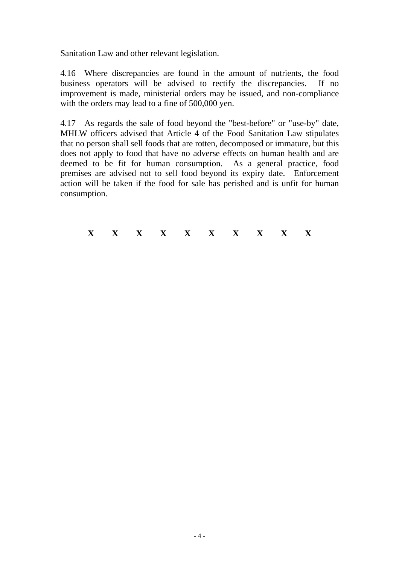Sanitation Law and other relevant legislation.

4.16 Where discrepancies are found in the amount of nutrients, the food business operators will be advised to rectify the discrepancies. If no improvement is made, ministerial orders may be issued, and non-compliance with the orders may lead to a fine of 500,000 yen.

4.17 As regards the sale of food beyond the "best-before" or "use-by" date, MHLW officers advised that Article 4 of the Food Sanitation Law stipulates that no person shall sell foods that are rotten, decomposed or immature, but this does not apply to food that have no adverse effects on human health and are deemed to be fit for human consumption. As a general practice, food premises are advised not to sell food beyond its expiry date. Enforcement action will be taken if the food for sale has perished and is unfit for human consumption.

**X X X X X X X X X X**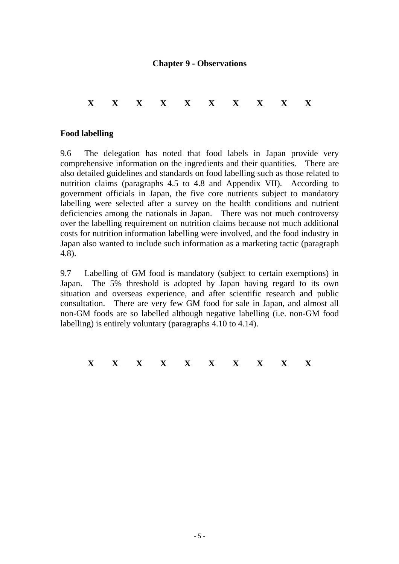#### **Chapter 9 - Observations**

### **X X X X X X X X X X**

#### **Food labelling**

9.6 The delegation has noted that food labels in Japan provide very comprehensive information on the ingredients and their quantities. There are also detailed guidelines and standards on food labelling such as those related to nutrition claims (paragraphs 4.5 to 4.8 and Appendix VII). According to government officials in Japan, the five core nutrients subject to mandatory labelling were selected after a survey on the health conditions and nutrient deficiencies among the nationals in Japan. There was not much controversy over the labelling requirement on nutrition claims because not much additional costs for nutrition information labelling were involved, and the food industry in Japan also wanted to include such information as a marketing tactic (paragraph 4.8).

9.7 Labelling of GM food is mandatory (subject to certain exemptions) in Japan. The 5% threshold is adopted by Japan having regard to its own situation and overseas experience, and after scientific research and public consultation. There are very few GM food for sale in Japan, and almost all non-GM foods are so labelled although negative labelling (i.e. non-GM food labelling) is entirely voluntary (paragraphs 4.10 to 4.14).

**X X X X X X X X X X**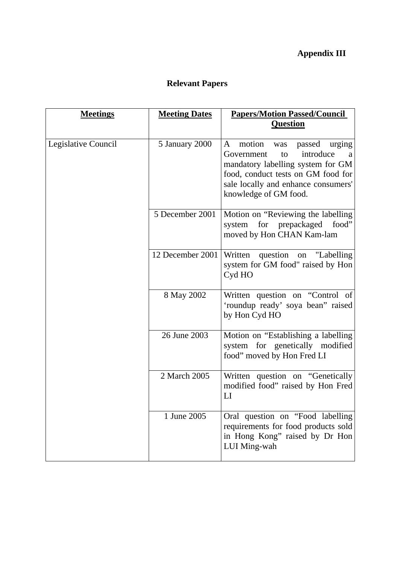# **Appendix III**

# **Relevant Papers**

| <b>Meetings</b>     | <b>Meeting Dates</b> | <b>Papers/Motion Passed/Council</b>                                                                                                                                                                                     |
|---------------------|----------------------|-------------------------------------------------------------------------------------------------------------------------------------------------------------------------------------------------------------------------|
|                     |                      | <b>Question</b>                                                                                                                                                                                                         |
| Legislative Council | 5 January 2000       | motion<br>passed<br>A<br>was<br>urging<br>introduce<br>Government<br>to<br>a<br>mandatory labelling system for GM<br>food, conduct tests on GM food for<br>sale locally and enhance consumers'<br>knowledge of GM food. |
|                     | 5 December 2001      | Motion on "Reviewing the labelling<br>system for prepackaged food"<br>moved by Hon CHAN Kam-lam                                                                                                                         |
|                     | 12 December 2001     | Written<br>question<br>"Labelling"<br>on<br>system for GM food" raised by Hon<br>Cyd HO                                                                                                                                 |
|                     | 8 May 2002           | Written question on "Control of<br>'roundup ready' soya bean" raised<br>by Hon Cyd HO                                                                                                                                   |
|                     | 26 June 2003         | Motion on "Establishing a labelling"<br>system for genetically modified<br>food" moved by Hon Fred LI                                                                                                                   |
|                     | 2 March 2005         | Written question on "Genetically<br>modified food" raised by Hon Fred<br>LI                                                                                                                                             |
|                     | 1 June 2005          | Oral question on "Food labelling<br>requirements for food products sold<br>in Hong Kong" raised by Dr Hon<br>LUI Ming-wah                                                                                               |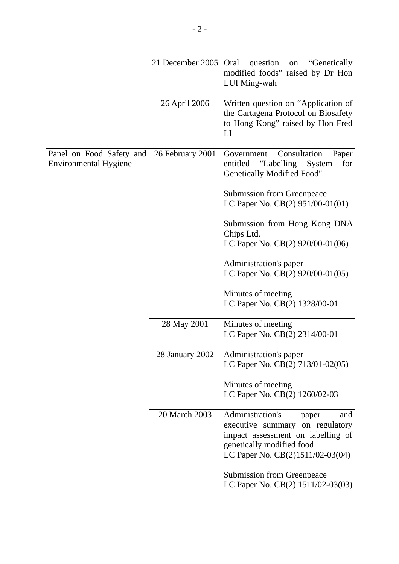|                                                          | 21 December 2005 | on "Genetically<br>Oral<br>question<br>modified foods" raised by Dr Hon<br>LUI Ming-wah                                                                                   |
|----------------------------------------------------------|------------------|---------------------------------------------------------------------------------------------------------------------------------------------------------------------------|
|                                                          | 26 April 2006    | Written question on "Application of<br>the Cartagena Protocol on Biosafety<br>to Hong Kong" raised by Hon Fred<br>$\mathbf{L}\mathbf{I}$                                  |
| Panel on Food Safety and<br><b>Environmental Hygiene</b> | 26 February 2001 | Consultation<br>Government<br>Paper<br>"Labelling"<br>for<br>entitled<br>System<br><b>Genetically Modified Food"</b>                                                      |
|                                                          |                  | <b>Submission from Greenpeace</b><br>LC Paper No. CB(2) 951/00-01(01)                                                                                                     |
|                                                          |                  | Submission from Hong Kong DNA<br>Chips Ltd.<br>LC Paper No. CB(2) 920/00-01(06)                                                                                           |
|                                                          |                  | Administration's paper<br>LC Paper No. CB(2) 920/00-01(05)                                                                                                                |
|                                                          |                  | Minutes of meeting<br>LC Paper No. CB(2) 1328/00-01                                                                                                                       |
|                                                          | 28 May 2001      | Minutes of meeting<br>LC Paper No. CB(2) 2314/00-01                                                                                                                       |
|                                                          | 28 January 2002  | Administration's paper<br>LC Paper No. CB(2) 713/01-02(05)                                                                                                                |
|                                                          |                  | Minutes of meeting<br>LC Paper No. CB(2) 1260/02-03                                                                                                                       |
|                                                          | 20 March 2003    | Administration's<br>paper<br>and<br>executive summary on regulatory<br>impact assessment on labelling of<br>genetically modified food<br>LC Paper No. CB(2)1511/02-03(04) |
|                                                          |                  | <b>Submission from Greenpeace</b><br>LC Paper No. CB(2) 1511/02-03(03)                                                                                                    |